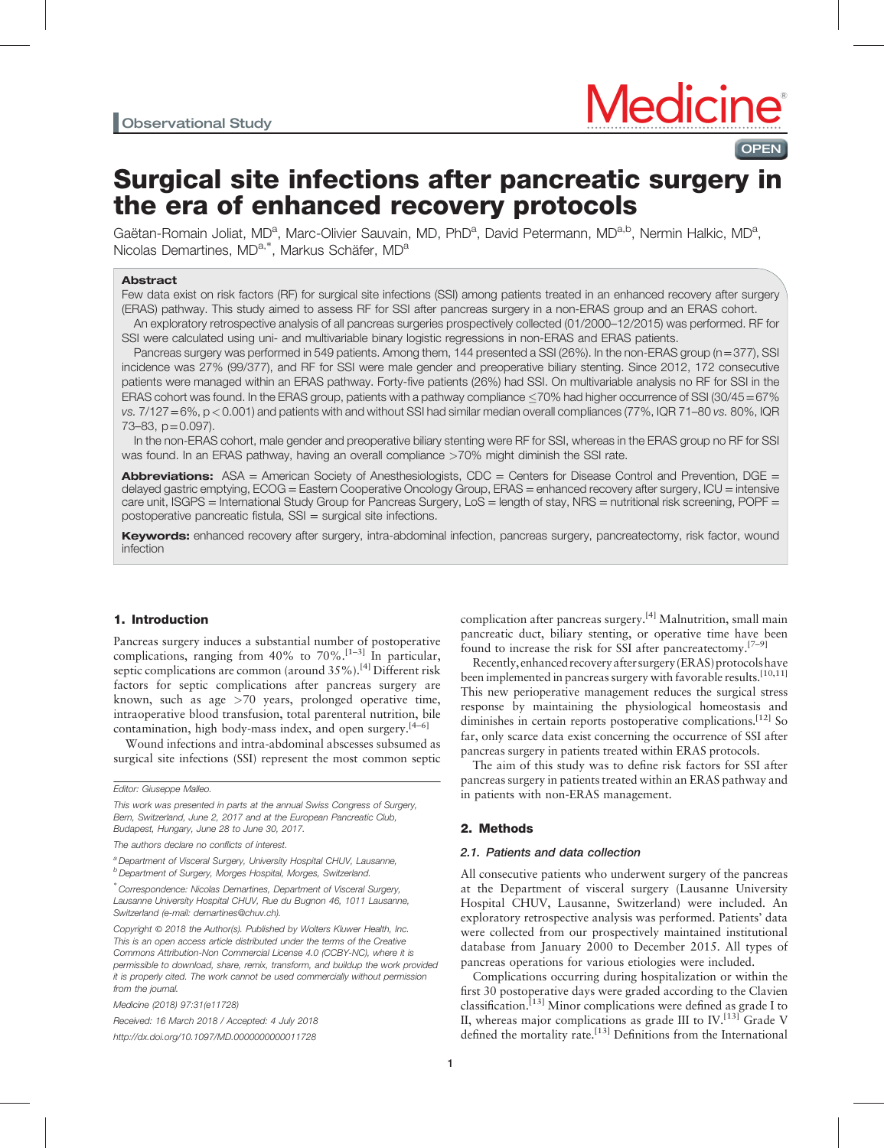**OPEN** 

# Surgical site infections after pancreatic surgery in the era of enhanced recovery protocols

Gaëtan-Romain Joliat, MD<sup>a</sup>, Marc-Olivier Sauvain, MD, PhD<sup>a</sup>, David Petermann, MD<sup>a,b</sup>, Nermin Halkic, MD<sup>a</sup>, under Fremann demart, mar demarte demartimenten der Schäfer, MD<sup>a</sup>,

#### Abstract

Few data exist on risk factors (RF) for surgical site infections (SSI) among patients treated in an enhanced recovery after surgery (ERAS) pathway. This study aimed to assess RF for SSI after pancreas surgery in a non-ERAS group and an ERAS cohort. An exploratory retrospective analysis of all pancreas surgeries prospectively collected (01/2000–12/2015) was performed. RF for

SSI were calculated using uni- and multivariable binary logistic regressions in non-ERAS and ERAS patients.

Pancreas surgery was performed in 549 patients. Among them, 144 presented a SSI (26%). In the non-ERAS group (n=377), SSI incidence was 27% (99/377), and RF for SSI were male gender and preoperative biliary stenting. Since 2012, 172 consecutive patients were managed within an ERAS pathway. Forty-five patients (26%) had SSI. On multivariable analysis no RF for SSI in the ERAS cohort was found. In the ERAS group, patients with a pathway compliance  $\leq$ 70% had higher occurrence of SSI (30/45 = 67% vs. 7/127=6%, p<0.001) and patients with and without SSI had similar median overall compliances (77%, IQR 71–80 vs. 80%, IQR 73–83, p=0.097).

In the non-ERAS cohort, male gender and preoperative biliary stenting were RF for SSI, whereas in the ERAS group no RF for SSI was found. In an ERAS pathway, having an overall compliance >70% might diminish the SSI rate.

**Abbreviations:** ASA = American Society of Anesthesiologists, CDC = Centers for Disease Control and Prevention, DGE = delayed gastric emptying, ECOG = Eastern Cooperative Oncology Group, ERAS = enhanced recovery after surgery, ICU = intensive care unit, ISGPS = International Study Group for Pancreas Surgery, LoS = length of stay, NRS = nutritional risk screening, POPF = postoperative pancreatic fistula, SSI = surgical site infections.

Keywords: enhanced recovery after surgery, intra-abdominal infection, pancreas surgery, pancreatectomy, risk factor, wound infection

## 1. Introduction

Pancreas surgery induces a substantial number of postoperative complications, ranging from 40% to 70%.<sup>[1-3]</sup> In particular, septic complications are common (around 35%).<sup>[\[4\]](#page-5-0)</sup> Different risk factors for septic complications after pancreas surgery are known, such as age >70 years, prolonged operative time, intraoperative blood transfusion, total parenteral nutrition, bile contamination, high body-mass index, and open surgery.<sup>[4–6]</sup>

Wound infections and intra-abdominal abscesses subsumed as surgical site infections (SSI) represent the most common septic

This work was presented in parts at the annual Swiss Congress of Surgery, Bern, Switzerland, June 2, 2017 and at the European Pancreatic Club, Budapest, Hungary, June 28 to June 30, 2017.

a Department of Visceral Surgery, University Hospital CHUV, Lausanne, <sup>b</sup> Department of Surgery, Morges Hospital, Morges, Switzerland.

Received: 16 March 2018 / Accepted: 4 July 2018 <http://dx.doi.org/10.1097/MD.0000000000011728>

complication after pancreas surgery.[\[4\]](#page-5-0) Malnutrition, small main pancreatic duct, biliary stenting, or operative time have been found to increase the risk for SSI after pancreatectomy.<sup>[7-9]</sup>

Recently, enhanced recovery after surgery (ERAS) protocols have been implemented in pancreas surgery with favorable results.<sup>[10,11]</sup> This new perioperative management reduces the surgical stress response by maintaining the physiological homeostasis and diminishes in certain reports postoperative complications.<sup>[12]</sup> So far, only scarce data exist concerning the occurrence of SSI after pancreas surgery in patients treated within ERAS protocols.

The aim of this study was to define risk factors for SSI after pancreas surgery in patients treated within an ERAS pathway and in patients with non-ERAS management.

# 2. Methods

## 2.1. Patients and data collection

All consecutive patients who underwent surgery of the pancreas at the Department of visceral surgery (Lausanne University Hospital CHUV, Lausanne, Switzerland) were included. An exploratory retrospective analysis was performed. Patients' data were collected from our prospectively maintained institutional database from January 2000 to December 2015. All types of pancreas operations for various etiologies were included.

Complications occurring during hospitalization or within the first 30 postoperative days were graded according to the Clavien classification.<sup>[13]</sup> Minor complications were defined as grade I to II, whereas major complications as grade III to  $IV.$ <sup>[\[13\]](#page-5-0)</sup> Grade V defined the mortality rate.<sup>[\[13\]](#page-5-0)</sup> Definitions from the International

Editor: Giuseppe Malleo.

The authors declare no conflicts of interest.

<sup>∗</sup> Correspondence: Nicolas Demartines, Department of Visceral Surgery, Lausanne University Hospital CHUV, Rue du Bugnon 46, 1011 Lausanne, Switzerland (e-mail: [demartines@chuv.ch\)](mailto:demartines@chuv.ch).

Copyright © 2018 the Author(s). Published by Wolters Kluwer Health, Inc. This is an open access article distributed under the terms of the [Creative](http://creativecommons.org/licenses/by-nc/4.0) [Commons Attribution-Non Commercial License 4.0](http://creativecommons.org/licenses/by-nc/4.0) (CCBY-NC), where it is permissible to download, share, remix, transform, and buildup the work provided it is properly cited. The work cannot be used commercially without permission from the journal.

Medicine (2018) 97:31(e11728)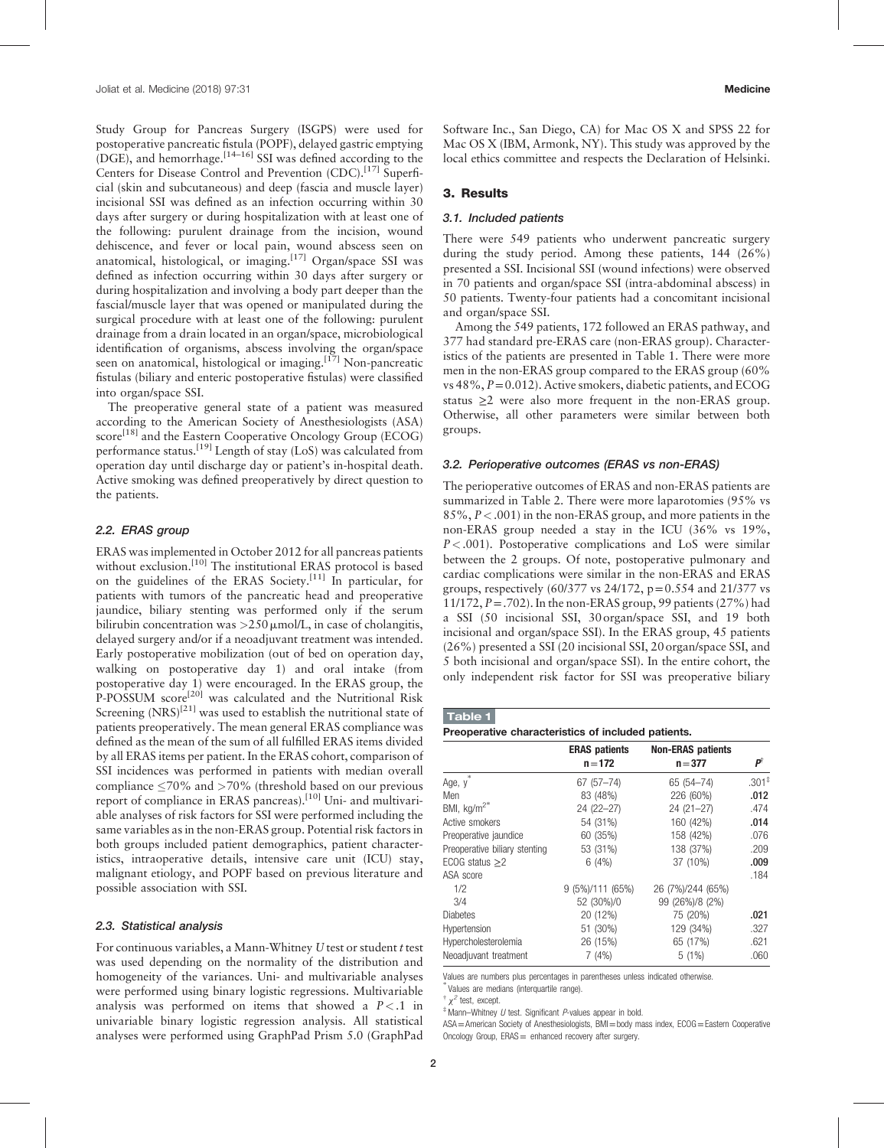Study Group for Pancreas Surgery (ISGPS) were used for postoperative pancreatic fistula (POPF), delayed gastric emptying  $(DGE)$ , and hemorrhage.<sup>[14–16]</sup> SSI was defined according to the Centers for Disease Control and Prevention (CDC).<sup>[\[17\]](#page-5-0)</sup> Superficial (skin and subcutaneous) and deep (fascia and muscle layer) incisional SSI was defined as an infection occurring within 30 days after surgery or during hospitalization with at least one of the following: purulent drainage from the incision, wound dehiscence, and fever or local pain, wound abscess seen on anatomical, histological, or imaging.<sup>[\[17\]](#page-5-0)</sup> Organ/space SSI was defined as infection occurring within 30 days after surgery or during hospitalization and involving a body part deeper than the fascial/muscle layer that was opened or manipulated during the surgical procedure with at least one of the following: purulent drainage from a drain located in an organ/space, microbiological identification of organisms, abscess involving the organ/space seen on anatomical, histological or imaging.<sup>[\[17\]](#page-5-0)</sup> Non-pancreatic fistulas (biliary and enteric postoperative fistulas) were classified into organ/space SSI.

The preoperative general state of a patient was measured according to the American Society of Anesthesiologists (ASA) score<sup>[\[18\]](#page-5-0)</sup> and the Eastern Cooperative Oncology Group (ECOG) performance status.[\[19\]](#page-5-0) Length of stay (LoS) was calculated from operation day until discharge day or patient's in-hospital death. Active smoking was defined preoperatively by direct question to the patients.

## 2.2. ERAS group

ERAS was implemented in October 2012 for all pancreas patients without exclusion.<sup>[\[10\]](#page-5-0)</sup> The institutional ERAS protocol is based on the guidelines of the ERAS Society.[\[11\]](#page-5-0) In particular, for patients with tumors of the pancreatic head and preoperative jaundice, biliary stenting was performed only if the serum bilirubin concentration was  $>250 \mu$ mol/L, in case of cholangitis, delayed surgery and/or if a neoadjuvant treatment was intended. Early postoperative mobilization (out of bed on operation day, walking on postoperative day 1) and oral intake (from postoperative day 1) were encouraged. In the ERAS group, the P-POSSUM score<sup>[\[20\]](#page-5-0)</sup> was calculated and the Nutritional Risk Screening  $(NRS)^{[21]}$  $(NRS)^{[21]}$  $(NRS)^{[21]}$  was used to establish the nutritional state of patients preoperatively. The mean general ERAS compliance was defined as the mean of the sum of all fulfilled ERAS items divided by all ERAS items per patient. In the ERAS cohort, comparison of SSI incidences was performed in patients with median overall compliance  $\langle 70\% \rangle$  and  $>70\%$  (threshold based on our previous report of compliance in ERAS pancreas).<sup>[\[10\]](#page-5-0)</sup> Uni- and multivariable analyses of risk factors for SSI were performed including the same variables as in the non-ERAS group. Potential risk factors in both groups included patient demographics, patient characteristics, intraoperative details, intensive care unit (ICU) stay, malignant etiology, and POPF based on previous literature and possible association with SSI.

## 2.3. Statistical analysis

For continuous variables, a Mann-Whitney U test or student t test was used depending on the normality of the distribution and homogeneity of the variances. Uni- and multivariable analyses were performed using binary logistic regressions. Multivariable analysis was performed on items that showed a  $P < 0.1$  in univariable binary logistic regression analysis. All statistical analyses were performed using GraphPad Prism 5.0 (GraphPad Software Inc., San Diego, CA) for Mac OS X and SPSS 22 for Mac OS X (IBM, Armonk, NY). This study was approved by the local ethics committee and respects the Declaration of Helsinki.

## 3. Results

#### 3.1. Included patients

There were 549 patients who underwent pancreatic surgery during the study period. Among these patients, 144 (26%) presented a SSI. Incisional SSI (wound infections) were observed in 70 patients and organ/space SSI (intra-abdominal abscess) in 50 patients. Twenty-four patients had a concomitant incisional and organ/space SSI.

Among the 549 patients, 172 followed an ERAS pathway, and 377 had standard pre-ERAS care (non-ERAS group). Characteristics of the patients are presented in Table 1. There were more men in the non-ERAS group compared to the ERAS group (60% vs  $48\%, P=0.012$ ). Active smokers, diabetic patients, and ECOG status  $\geq 2$  were also more frequent in the non-ERAS group. Otherwise, all other parameters were similar between both groups.

#### 3.2. Perioperative outcomes (ERAS vs non-ERAS)

The perioperative outcomes of ERAS and non-ERAS patients are summarized in [Table 2.](#page-2-0) There were more laparotomies (95% vs 85%, P<.001) in the non-ERAS group, and more patients in the non-ERAS group needed a stay in the ICU (36% vs 19%,  $P < .001$ ). Postoperative complications and LoS were similar between the 2 groups. Of note, postoperative pulmonary and cardiac complications were similar in the non-ERAS and ERAS groups, respectively (60/377 vs 24/172, p=0.554 and 21/377 vs 11/172,  $P = .702$ ). In the non-ERAS group, 99 patients (27%) had a SSI (50 incisional SSI, 30 organ/space SSI, and 19 both incisional and organ/space SSI). In the ERAS group, 45 patients (26%) presented a SSI (20 incisional SSI, 20 organ/space SSI, and 5 both incisional and organ/space SSI). In the entire cohort, the only independent risk factor for SSI was preoperative biliary

#### Table 1

Preoperative characteristics of included patients.

|                               | <b>ERAS patients</b><br>$n = 172$ | <b>Non-ERAS patients</b><br>$n = 377$ | Ρî      |
|-------------------------------|-----------------------------------|---------------------------------------|---------|
| $\ast$<br>Age, y              | $67(57 - 74)$                     | 65 (54-74)                            | $.301*$ |
| Men                           | 83 (48%)                          | 226 (60%)                             | .012    |
| BMI, kg/m <sup>2*</sup>       | 24 (22-27)                        | $24(21-27)$                           | .474    |
| Active smokers                | 54 (31%)                          | 160 (42%)                             | .014    |
| Preoperative jaundice         | 60 (35%)                          | 158 (42%)                             | .076    |
| Preoperative biliary stenting | 53 (31%)                          | 138 (37%)                             | .209    |
| ECOG status $\geq$ 2          | 6(4%)                             | 37 (10%)                              | .009    |
| ASA score                     |                                   |                                       | .184    |
| 1/2                           | $9(5\%)/111(65\%)$                | 26 (7%)/244 (65%)                     |         |
| 3/4                           | 52 (30%)/0                        | 99 (26%)/8 (2%)                       |         |
| <b>Diabetes</b>               | 20 (12%)                          | 75 (20%)                              | .021    |
| Hypertension                  | 51 (30%)                          | 129 (34%)                             | .327    |
| Hypercholesterolemia          | 26 (15%)                          | 65 (17%)                              | .621    |
| Neoadjuvant treatment         | 7(4%)                             | 5(1%)                                 | .060    |

Values are numbers plus percentages in parentheses unless indicated otherwise.

∗ Values are medians (interquartile range).

 $\dagger$   $\chi^2$  test, except.

 $*$  Mann–Whitney U test. Significant P-values appear in bold.

ASA=American Society of Anesthesiologists, BMI=body mass index, ECOG=Eastern Cooperative Oncology Group, ERAS = enhanced recovery after surgery.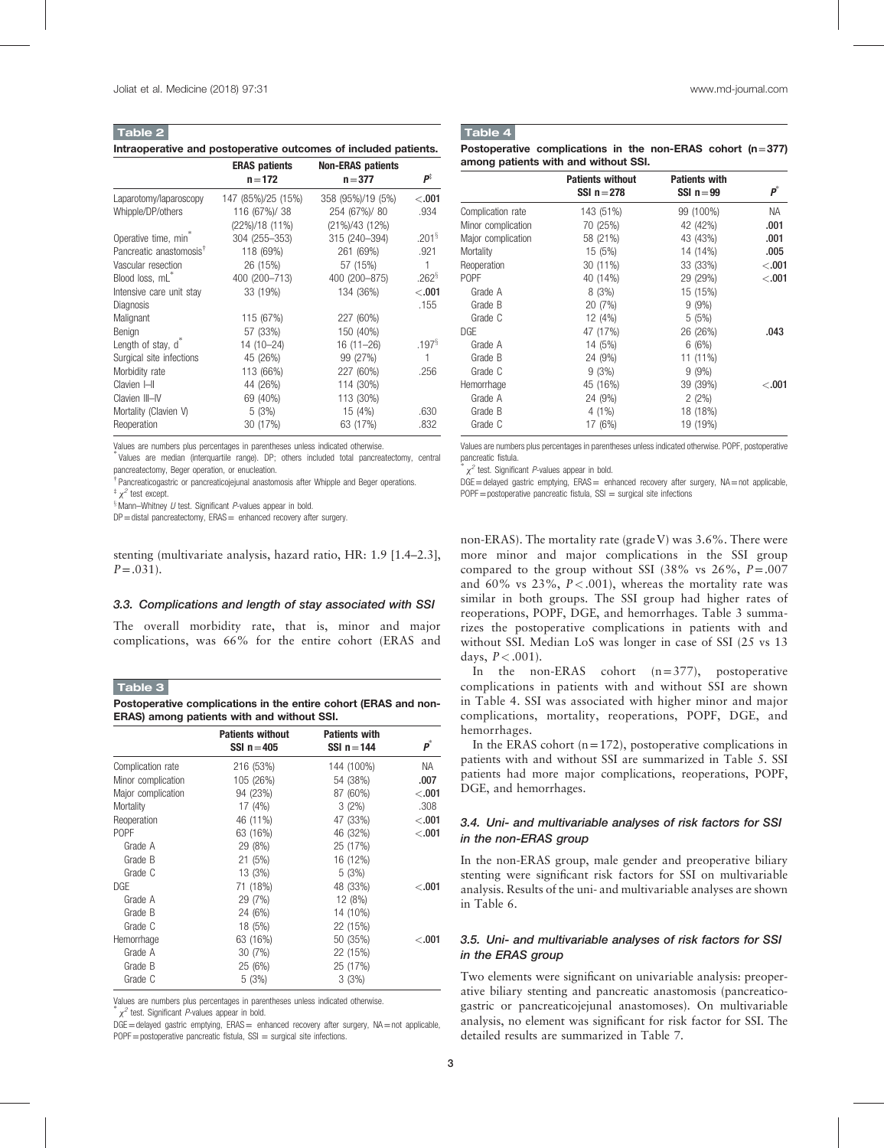<span id="page-2-0"></span>Table 2

Intraoperative and postoperative outcomes of included patients.

|                                     | <b>ERAS</b> patients | <b>Non-ERAS patients</b> |                      |
|-------------------------------------|----------------------|--------------------------|----------------------|
|                                     | $n = 172$            | $n = 377$                | р‡                   |
| Laparotomy/laparoscopy              | 147 (85%)/25 (15%)   | 358 (95%)/19 (5%)        | < 0.001              |
| Whipple/DP/others                   | 116 (67%)/ 38        | 254 (67%)/ 80            | .934                 |
|                                     | (22%)/18 (11%)       | (21%)/43 (12%)           |                      |
| Operative time, min <sup>®</sup>    | 304 (255-353)        | 315 (240-394)            | $.201^{\frac{5}{3}}$ |
| Pancreatic anastomosis <sup>†</sup> | 118 (69%)            | 261 (69%)                | .921                 |
| Vascular resection                  | 26 (15%)             | 57 (15%)                 | $\mathbf{1}$         |
| Blood loss, mL <sup>*</sup>         | 400 (200-713)        | 400 (200-875)            | $.262^{\frac{5}{3}}$ |
| Intensive care unit stay            | 33 (19%)             | 134 (36%)                | < 0.001              |
| Diagnosis                           |                      |                          | .155                 |
| Malignant                           | 115 (67%)            | 227 (60%)                |                      |
| Benign                              | 57 (33%)             | 150 (40%)                |                      |
| Length of stay, d <sup>*</sup>      | 14 (10-24)           | $16(11 - 26)$            | .197 <sup>§</sup>    |
| Surgical site infections            | 45 (26%)             | 99 (27%)                 | 1                    |
| Morbidity rate                      | 113 (66%)            | 227 (60%)                | .256                 |
| Clavien I-II                        | 44 (26%)             | 114 (30%)                |                      |
| Clavien III-IV                      | 69 (40%)             | 113 (30%)                |                      |
| Mortality (Clavien V)               | 5(3%)                | 15 (4%)                  | .630                 |
| Reoperation                         | 30 (17%)             | 63 (17%)                 | .832                 |

Values are numbers plus percentages in parentheses unless indicated otherwise.

∗ Values are median (interquartile range). DP; others included total pancreatectomy, central pancreatectomy, Beger operation, or enucleation.

† Pancreaticogastric or pancreaticojejunal anastomosis after Whipple and Beger operations.

 $*$   $\chi^2$  test except.

 $$$ Mann–Whitney U test. Significant P-values appear in bold.

DP = distal pancreatectomy, ERAS = enhanced recovery after surgery.

stenting (multivariate analysis, hazard ratio, HR: 1.9 [1.4–2.3],  $P = .031$ ).

#### 3.3. Complications and length of stay associated with SSI

The overall morbidity rate, that is, minor and major complications, was 66% for the entire cohort (ERAS and

#### Table 3

Postoperative complications in the entire cohort (ERAS and non-ERAS) among patients with and without SSI.

|                    | <b>Patients without</b><br>SSI $n = 405$ | <b>Patients with</b><br>SSI $n = 144$ | $\boldsymbol{p}^*$ |
|--------------------|------------------------------------------|---------------------------------------|--------------------|
| Complication rate  | 216 (53%)                                | 144 (100%)                            | NA.                |
| Minor complication | 105 (26%)                                | 54 (38%)                              | .007               |
| Major complication | 94 (23%)                                 | 87 (60%)                              | < .001             |
| Mortality          | 17(4%)                                   | $3(2\%)$                              | .308               |
| Reoperation        | 46 (11%)                                 | 47 (33%)                              | < 0.001            |
| <b>POPF</b>        | 63 (16%)                                 | 46 (32%)                              | < 0.001            |
| Grade A            | 29 (8%)                                  | 25 (17%)                              |                    |
| Grade B            | 21(5%)                                   | 16 (12%)                              |                    |
| Grade C            | 13 (3%)                                  | 5(3%)                                 |                    |
| DGE                | 71 (18%)                                 | 48 (33%)                              | < 0.001            |
| Grade A            | 29 (7%)                                  | 12 (8%)                               |                    |
| Grade B            | 24 (6%)                                  | 14 (10%)                              |                    |
| Grade C            | 18 (5%)                                  | 22 (15%)                              |                    |
| Hemorrhage         | 63 (16%)                                 | 50 (35%)                              | < 0.001            |
| Grade A            | 30(7%)                                   | 22 (15%)                              |                    |
| Grade B            | 25 (6%)                                  | 25 (17%)                              |                    |
| Grade C            | 5(3%)                                    | 3(3%)                                 |                    |

Values are numbers plus percentages in parentheses unless indicated otherwise. ∗

 $x^2$  test. Significant P-values appear in bold.

 $DGE$  = delayed gastric emptying,  $ERAS$  = enhanced recovery after surgery,  $NA$  = not applicable,  $POPF = postoperative$  pancreatic fistula,  $SSI = surgical$  site infections.

## Table 4

Postoperative complications in the non-ERAS cohort ( $n=377$ ) among patients with and without SSI.

|                    | <b>Patients without</b><br>SSI $n = 278$ | <b>Patients with</b><br>SSI $n = 99$ | $\pmb{p}^*$ |
|--------------------|------------------------------------------|--------------------------------------|-------------|
| Complication rate  | 143 (51%)                                | 99 (100%)                            | <b>NA</b>   |
| Minor complication | 70 (25%)                                 | 42 (42%)                             | .001        |
| Major complication | 58 (21%)                                 | 43 (43%)                             | .001        |
| Mortality          | 15(5%)                                   | 14 (14%)                             | .005        |
| Reoperation        | 30 (11%)                                 | 33 (33%)                             | < 0.001     |
| P <sub>O</sub> PF  | 40 (14%)                                 | 29 (29%)                             | < 0.001     |
| Grade A            | 8(3%)                                    | 15 (15%)                             |             |
| Grade B            | 20 (7%)                                  | $9(9\%)$                             |             |
| Grade C            | 12 (4%)                                  | 5(5%)                                |             |
| <b>DGE</b>         | 47 (17%)                                 | 26 (26%)                             | .043        |
| Grade A            | 14 (5%)                                  | 6(6%)                                |             |
| Grade B            | 24 (9%)                                  | 11 (11%)                             |             |
| Grade C            | 9(3%)                                    | $9(9\%)$                             |             |
| Hemorrhage         | 45 (16%)                                 | 39 (39%)                             | $-.001$     |
| Grade A            | 24 (9%)                                  | $2(2\%)$                             |             |
| Grade B            | $4(1\%)$                                 | 18 (18%)                             |             |
| Grade C            | 17 (6%)                                  | 19 (19%)                             |             |

Values are numbers plus percentages in parentheses unless indicated otherwise. POPF, postoperative pancreatic fistula.

 $x^2$  test. Significant P-values appear in bold.

DGE=delayed gastric emptying, ERAS= enhanced recovery after surgery, NA=not applicable,  $POPF = postoperative$  pancreatic fistula,  $SSI = surgical site$  infections

non-ERAS). The mortality rate (grade V) was 3.6%. There were more minor and major complications in the SSI group compared to the group without SSI (38% vs  $26\%, P = .007$ and 60% vs  $23\%$ ,  $P < .001$ ), whereas the mortality rate was similar in both groups. The SSI group had higher rates of reoperations, POPF, DGE, and hemorrhages. Table 3 summarizes the postoperative complications in patients with and without SSI. Median LoS was longer in case of SSI (25 vs 13 days,  $P < .001$ ).

In the non-ERAS cohort (n=377), postoperative complications in patients with and without SSI are shown in Table 4. SSI was associated with higher minor and major complications, mortality, reoperations, POPF, DGE, and hemorrhages.

In the ERAS cohort  $(n=172)$ , postoperative complications in patients with and without SSI are summarized in [Table 5](#page-3-0). SSI patients had more major complications, reoperations, POPF, DGE, and hemorrhages.

## 3.4. Uni- and multivariable analyses of risk factors for SSI in the non-ERAS group

In the non-ERAS group, male gender and preoperative biliary stenting were significant risk factors for SSI on multivariable analysis. Results of the uni- and multivariable analyses are shown in [Table 6](#page-3-0).

## 3.5. Uni- and multivariable analyses of risk factors for SSI in the ERAS group

Two elements were significant on univariable analysis: preoperative biliary stenting and pancreatic anastomosis (pancreaticogastric or pancreaticojejunal anastomoses). On multivariable analysis, no element was significant for risk factor for SSI. The detailed results are summarized in [Table 7.](#page-3-0)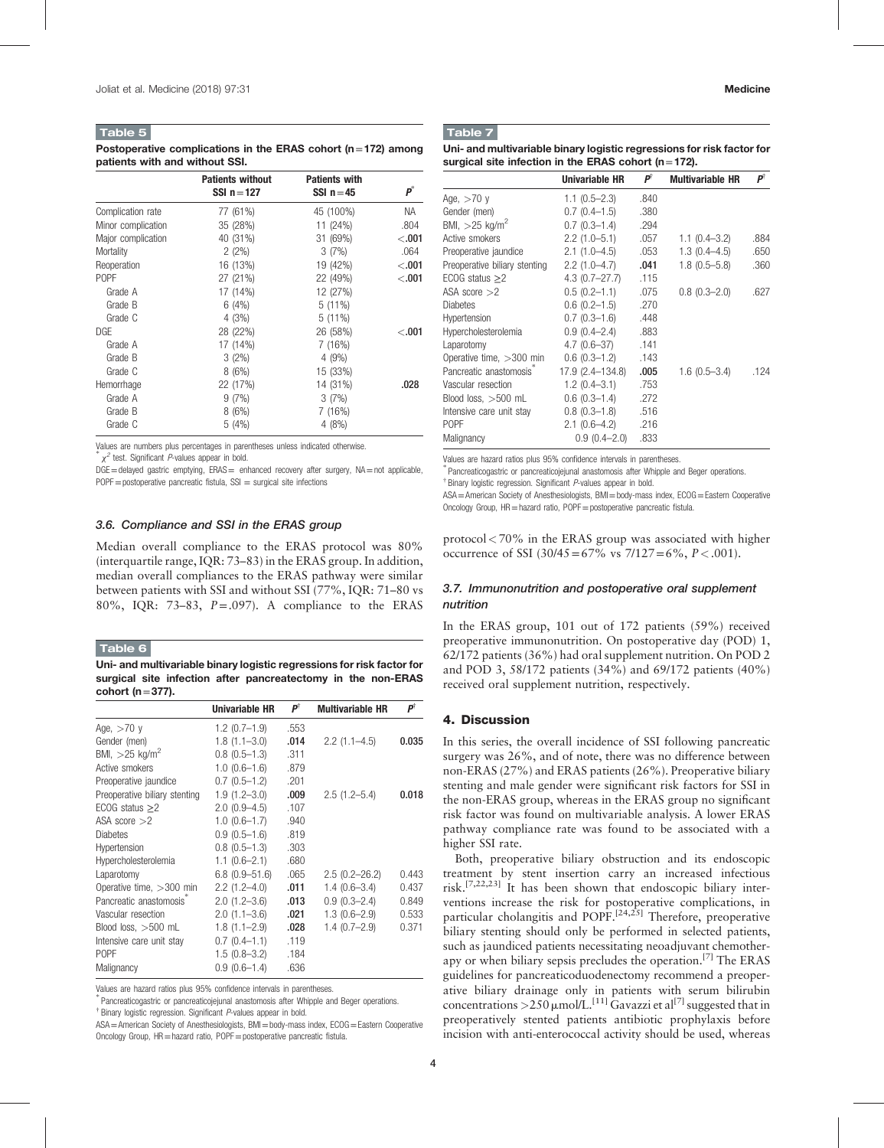#### <span id="page-3-0"></span>Table 5

#### Postoperative complications in the ERAS cohort ( $n=172$ ) among patients with and without SSI.

|                    | <b>Patients without</b><br>SSI $n = 127$ | <b>Patients with</b><br>SSI $n = 45$ | $\boldsymbol{p}^*$ |
|--------------------|------------------------------------------|--------------------------------------|--------------------|
| Complication rate  | 77 (61%)                                 | 45 (100%)                            | NА                 |
| Minor complication | 35 (28%)                                 | 11 (24%)                             | .804               |
| Major complication | 40 (31%)                                 | 31 (69%)                             | < 0.001            |
| Mortality          | $2(2\%)$                                 | 3(7%)                                | .064               |
| Reoperation        | 16 (13%)                                 | 19 (42%)                             | < 0.001            |
| <b>POPF</b>        | 27 (21%)                                 | 22 (49%)                             | < 0.001            |
| Grade A            | 17 (14%)                                 | 12 (27%)                             |                    |
| Grade B            | 6(4%)                                    | $5(11\%)$                            |                    |
| Grade C            | 4(3%)                                    | $5(11\%)$                            |                    |
| DGE                | 28 (22%)                                 | 26 (58%)                             | < 0.001            |
| Grade A            | 17 (14%)                                 | 7(16%)                               |                    |
| Grade B            | $3(2\%)$                                 | 4(9%)                                |                    |
| Grade C            | 8(6%)                                    | 15 (33%)                             |                    |
| Hemorrhage         | 22 (17%)                                 | 14 (31%)                             | .028               |
| Grade A            | 9(7%)                                    | 3(7%)                                |                    |
| Grade B            | 8(6%)                                    | 7(16%)                               |                    |
| Grade C            | 5(4%)                                    | 4(8%)                                |                    |

Values are numbers plus percentages in parentheses unless indicated otherwise.

∗  $\chi^2$  test. Significant *P*-values appear in bold.

 $DGE$  = delayed gastric emptying,  $ERAS$  = enhanced recovery after surgery,  $NA$  = not applicable,  $POPF = postoperative$  pancreatic fistula,  $SSI = surgical$  site infections

#### 3.6. Compliance and SSI in the ERAS group

Median overall compliance to the ERAS protocol was 80% (interquartile range, IQR: 73–83) in the ERAS group. In addition, median overall compliances to the ERAS pathway were similar between patients with SSI and without SSI (77%, IQR: 71–80 vs 80%, IQR: 73–83,  $P = .097$ ). A compliance to the ERAS

#### Table 6

Uni- and multivariable binary logistic regressions for risk factor for surgical site infection after pancreatectomy in the non-ERAS cohort ( $n=377$ ).

|                               | Univariable HR    | РŤ   | <b>Multivariable HR</b> | pÌ    |
|-------------------------------|-------------------|------|-------------------------|-------|
| Age, $>70$ y                  | $1.2(0.7-1.9)$    | .553 |                         |       |
| Gender (men)                  | $1.8(1.1 - 3.0)$  | .014 | $2.2(1.1-4.5)$          | 0.035 |
| BMI, $>$ 25 kg/m <sup>2</sup> | $0.8(0.5-1.3)$    | .311 |                         |       |
| Active smokers                | $1.0(0.6-1.6)$    | .879 |                         |       |
| Preoperative jaundice         | $0.7(0.5-1.2)$    | .201 |                         |       |
| Preoperative biliary stenting | $1.9(1.2 - 3.0)$  | .009 | $2.5(1.2-5.4)$          | 0.018 |
| ECOG status $\geq$ 2          | $2.0(0.9-4.5)$    | .107 |                         |       |
| ASA score $>2$                | $1.0(0.6-1.7)$    | .940 |                         |       |
| <b>Diabetes</b>               | $0.9(0.5-1.6)$    | .819 |                         |       |
| Hypertension                  | $0.8(0.5-1.3)$    | .303 |                         |       |
| <b>Hypercholesterolemia</b>   | $1.1 (0.6 - 2.1)$ | .680 |                         |       |
| Laparotomy                    | $6.8(0.9 - 51.6)$ | .065 | $2.5(0.2 - 26.2)$       | 0.443 |
| Operative time, $>300$ min    | $2.2(1.2 - 4.0)$  | .011 | $1.4(0.6-3.4)$          | 0.437 |
| Pancreatic anastomosis        | $2.0(1.2 - 3.6)$  | .013 | $0.9(0.3 - 2.4)$        | 0.849 |
| Vascular resection            | $2.0(1.1 - 3.6)$  | .021 | $1.3(0.6-2.9)$          | 0.533 |
| Blood loss, $>500$ mL         | $1.8(1.1 - 2.9)$  | .028 | $1.4(0.7-2.9)$          | 0.371 |
| Intensive care unit stay      | $0.7(0.4-1.1)$    | .119 |                         |       |
| P <sub>O</sub> PF             | $1.5(0.8-3.2)$    | .184 |                         |       |
| Malignancy                    | $0.9(0.6-1.4)$    | .636 |                         |       |

Values are hazard ratios plus 95% confidence intervals in parentheses.

Pancreaticogastric or pancreaticojejunal anastomosis after Whipple and Beger operations.

<sup>†</sup> Binary logistic regression. Significant P-values appear in bold.

ASA=American Society of Anesthesiologists, BMI=body-mass index, ECOG=Eastern Cooperative Oncology Group, HR = hazard ratio, POPF = postoperative pancreatic fistula.

## Table 7

| Uni- and multivariable binary logistic regressions for risk factor for |
|------------------------------------------------------------------------|
| surgical site infection in the ERAS cohort ( $n = 172$ ).              |

|                                     | <b>Univariable HR</b> | $P^{\dagger}$ | <b>Multivariable HR</b> | рŤ   |
|-------------------------------------|-----------------------|---------------|-------------------------|------|
| Age, >70 v                          | $1.1(0.5-2.3)$        | .840          |                         |      |
| Gender (men)                        | $0.7(0.4-1.5)$        | .380          |                         |      |
| BMI, >25 kg/m <sup>2</sup>          | $0.7(0.3-1.4)$        | .294          |                         |      |
| Active smokers                      | $2.2(1.0-5.1)$        | .057          | $1.1(0.4-3.2)$          | .884 |
| Preoperative jaundice               | $2.1(1.0-4.5)$        | .053          | $1.3(0.4 - 4.5)$        | .650 |
| Preoperative biliary stenting       | $2.2(1.0-4.7)$        | .041          | $1.8(0.5 - 5.8)$        | .360 |
| ECOG status $\geq$ 2                | $4.3(0.7-27.7)$       | .115          |                         |      |
| ASA score $>$ 2                     | $0.5(0.2 - 1.1)$      | .075          | $0.8(0.3 - 2.0)$        | .627 |
| <b>Diabetes</b>                     | $0.6(0.2-1.5)$        | .270          |                         |      |
| Hypertension                        | $0.7(0.3-1.6)$        | .448          |                         |      |
| Hypercholesterolemia                | $0.9(0.4 - 2.4)$      | .883          |                         |      |
| Laparotomy                          | $4.7(0.6-37)$         | .141          |                         |      |
| Operative time, >300 min            | $0.6(0.3-1.2)$        | .143          |                         |      |
| Pancreatic anastomosis <sup>®</sup> | 17.9 (2.4–134.8)      | .005          | $1.6(0.5-3.4)$          | .124 |
| Vascular resection                  | $1.2(0.4-3.1)$        | .753          |                         |      |
| Blood loss, >500 mL                 | $0.6(0.3-1.4)$        | .272          |                         |      |
| Intensive care unit stay            | $0.8(0.3-1.8)$        | .516          |                         |      |
| POPF                                | $2.1(0.6-4.2)$        | .216          |                         |      |
| Malignancy                          | $0.9(0.4-2.0)$        | .833          |                         |      |
|                                     |                       |               |                         |      |

Values are hazard ratios plus 95% confidence intervals in parentheses.

Pancreaticogastric or pancreaticojejunal anastomosis after Whipple and Beger operations. † Binary logistic regression. Significant P-values appear in bold.

ASA=American Society of Anesthesiologists, BMI=body-mass index, ECOG=Eastern Cooperative Oncology Group, HR = hazard ratio, POPF = postoperative pancreatic fistula.

 $protocol < 70\%$  in the ERAS group was associated with higher occurrence of SSI  $(30/45=67\% \text{ vs } 7/127=6\%, P < .001)$ .

## 3.7. Immunonutrition and postoperative oral supplement nutrition

In the ERAS group, 101 out of 172 patients (59%) received preoperative immunonutrition. On postoperative day (POD) 1, 62/172 patients (36%) had oral supplement nutrition. On POD 2 and POD 3, 58/172 patients (34%) and 69/172 patients (40%) received oral supplement nutrition, respectively.

#### 4. Discussion

In this series, the overall incidence of SSI following pancreatic surgery was 26%, and of note, there was no difference between non-ERAS (27%) and ERAS patients (26%). Preoperative biliary stenting and male gender were significant risk factors for SSI in the non-ERAS group, whereas in the ERAS group no significant risk factor was found on multivariable analysis. A lower ERAS pathway compliance rate was found to be associated with a higher SSI rate.

Both, preoperative biliary obstruction and its endoscopic treatment by stent insertion carry an increased infectious risk.[7,22,23] It has been shown that endoscopic biliary interventions increase the risk for postoperative complications, in particular cholangitis and POPF.<sup>[24,25]</sup> Therefore, preoperative biliary stenting should only be performed in selected patients, such as jaundiced patients necessitating neoadjuvant chemotherapy or when biliary sepsis precludes the operation.[\[7\]](#page-5-0) The ERAS guidelines for pancreaticoduodenectomy recommend a preoperative biliary drainage only in patients with serum bilirubin concentrations >250  $\mu$ mol/L.<sup>[\[11\]](#page-5-0)</sup> Gavazzi et al<sup>[\[7\]](#page-5-0)</sup> suggested that in preoperatively stented patients antibiotic prophylaxis before incision with anti-enterococcal activity should be used, whereas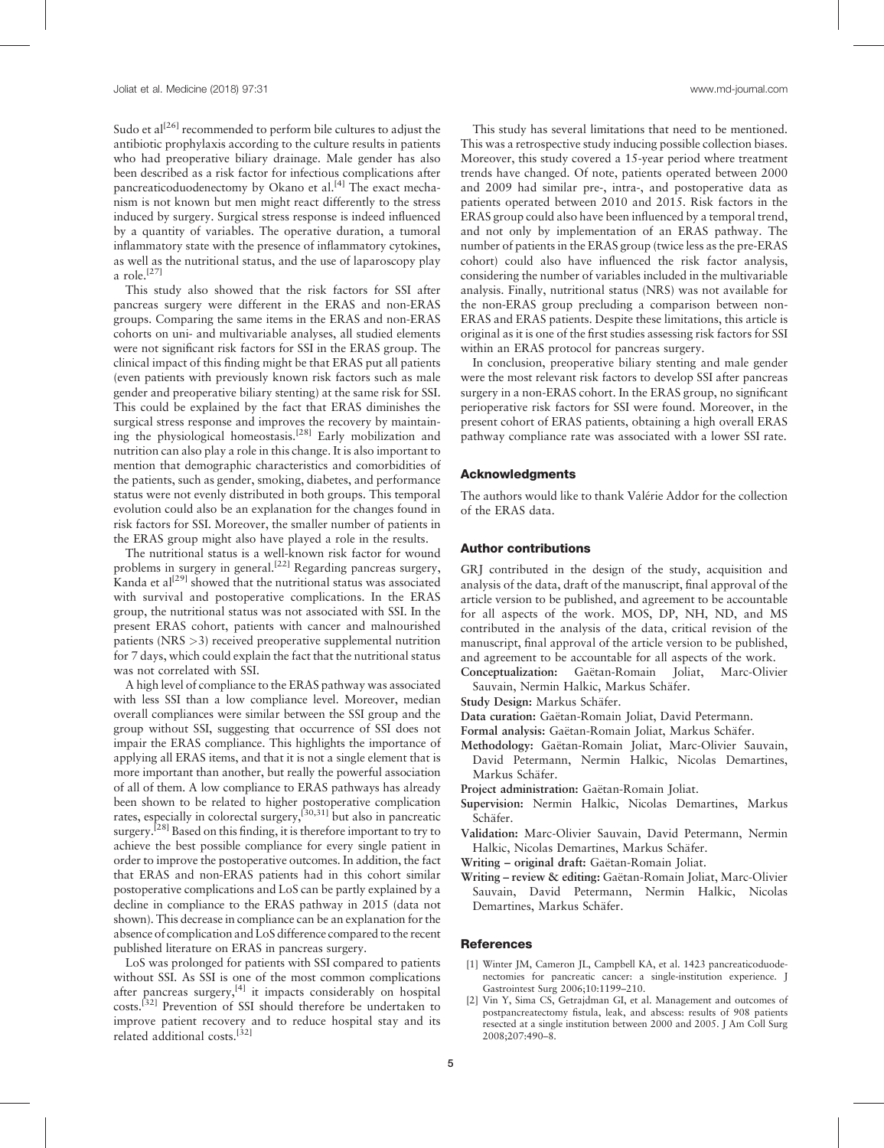Sudo et  $al^{[26]}$  $al^{[26]}$  $al^{[26]}$  recommended to perform bile cultures to adjust the antibiotic prophylaxis according to the culture results in patients who had preoperative biliary drainage. Male gender has also been described as a risk factor for infectious complications after pancreaticoduodenectomy by Okano et al.<sup>[\[4\]](#page-5-0)</sup> The exact mechanism is not known but men might react differently to the stress induced by surgery. Surgical stress response is indeed influenced by a quantity of variables. The operative duration, a tumoral inflammatory state with the presence of inflammatory cytokines, as well as the nutritional status, and the use of laparoscopy play a role.<sup>[\[27\]](#page-5-0)</sup>

This study also showed that the risk factors for SSI after pancreas surgery were different in the ERAS and non-ERAS groups. Comparing the same items in the ERAS and non-ERAS cohorts on uni- and multivariable analyses, all studied elements were not significant risk factors for SSI in the ERAS group. The clinical impact of this finding might be that ERAS put all patients (even patients with previously known risk factors such as male gender and preoperative biliary stenting) at the same risk for SSI. This could be explained by the fact that ERAS diminishes the surgical stress response and improves the recovery by maintaining the physiological homeostasis.[\[28\]](#page-5-0) Early mobilization and nutrition can also play a role in this change. It is also important to mention that demographic characteristics and comorbidities of the patients, such as gender, smoking, diabetes, and performance status were not evenly distributed in both groups. This temporal evolution could also be an explanation for the changes found in risk factors for SSI. Moreover, the smaller number of patients in the ERAS group might also have played a role in the results.

The nutritional status is a well-known risk factor for wound problems in surgery in general.<sup>[\[22\]](#page-5-0)</sup> Regarding pancreas surgery, Kanda et al<sup>[\[29\]](#page-5-0)</sup> showed that the nutritional status was associated with survival and postoperative complications. In the ERAS group, the nutritional status was not associated with SSI. In the present ERAS cohort, patients with cancer and malnourished patients (NRS >3) received preoperative supplemental nutrition for 7 days, which could explain the fact that the nutritional status was not correlated with SSI.

A high level of compliance to the ERAS pathway was associated with less SSI than a low compliance level. Moreover, median overall compliances were similar between the SSI group and the group without SSI, suggesting that occurrence of SSI does not impair the ERAS compliance. This highlights the importance of applying all ERAS items, and that it is not a single element that is more important than another, but really the powerful association of all of them. A low compliance to ERAS pathways has already been shown to be related to higher postoperative complication rates, especially in colorectal surgery, $^{[30,31]}$  but also in pancreatic surgery.<sup>[28]</sup> Based on this finding, it is therefore important to try to achieve the best possible compliance for every single patient in order to improve the postoperative outcomes. In addition, the fact that ERAS and non-ERAS patients had in this cohort similar postoperative complications and LoS can be partly explained by a decline in compliance to the ERAS pathway in 2015 (data not shown). This decrease in compliance can be an explanation for the absence of complication and LoS difference compared to the recent published literature on ERAS in pancreas surgery.

LoS was prolonged for patients with SSI compared to patients without SSI. As SSI is one of the most common complications after pancreas surgery, $[4]$  it impacts considerably on hospital costs.[\[32\]](#page-5-0) Prevention of SSI should therefore be undertaken to improve patient recovery and to reduce hospital stay and its related additional costs.<sup>[\[32\]](#page-5-0)</sup>

This study has several limitations that need to be mentioned. This was a retrospective study inducing possible collection biases. Moreover, this study covered a 15-year period where treatment trends have changed. Of note, patients operated between 2000 and 2009 had similar pre-, intra-, and postoperative data as patients operated between 2010 and 2015. Risk factors in the ERAS group could also have been influenced by a temporal trend, and not only by implementation of an ERAS pathway. The number of patients in the ERAS group (twice less as the pre-ERAS cohort) could also have influenced the risk factor analysis, considering the number of variables included in the multivariable analysis. Finally, nutritional status (NRS) was not available for the non-ERAS group precluding a comparison between non-ERAS and ERAS patients. Despite these limitations, this article is original as it is one of the first studies assessing risk factors for SSI within an ERAS protocol for pancreas surgery.

In conclusion, preoperative biliary stenting and male gender were the most relevant risk factors to develop SSI after pancreas surgery in a non-ERAS cohort. In the ERAS group, no significant perioperative risk factors for SSI were found. Moreover, in the present cohort of ERAS patients, obtaining a high overall ERAS pathway compliance rate was associated with a lower SSI rate.

#### Acknowledgments

The authors would like to thank Valérie Addor for the collection of the ERAS data.

#### Author contributions

GRJ contributed in the design of the study, acquisition and analysis of the data, draft of the manuscript, final approval of the article version to be published, and agreement to be accountable for all aspects of the work. MOS, DP, NH, ND, and MS contributed in the analysis of the data, critical revision of the manuscript, final approval of the article version to be published, and agreement to be accountable for all aspects of the work.

Conceptualization: Gaëtan-Romain Joliat, Marc-Olivier Sauvain, Nermin Halkic, Markus Schäfer.

- Study Design: Markus Schäfer.
- Data curation: Gaëtan-Romain Joliat, David Petermann.
- Formal analysis: Gaëtan-Romain Joliat, Markus Schäfer.
- Methodology: Gaëtan-Romain Joliat, Marc-Olivier Sauvain, David Petermann, Nermin Halkic, Nicolas Demartines, Markus Schäfer.
- Project administration: Gaëtan-Romain Joliat.
- Supervision: Nermin Halkic, Nicolas Demartines, Markus Schäfer.
- Validation: Marc-Olivier Sauvain, David Petermann, Nermin Halkic, Nicolas Demartines, Markus Schäfer.
- Writing original draft: Gaëtan-Romain Joliat.
- Writing review & editing: Gaëtan-Romain Joliat, Marc-Olivier Sauvain, David Petermann, Nermin Halkic, Nicolas Demartines, Markus Schäfer.

#### **References**

- [1] Winter JM, Cameron JL, Campbell KA, et al. 1423 pancreaticoduodenectomies for pancreatic cancer: a single-institution experience. J Gastrointest Surg 2006;10:1199–210.
- [2] Vin Y, Sima CS, Getrajdman GI, et al. Management and outcomes of postpancreatectomy fistula, leak, and abscess: results of 908 patients resected at a single institution between 2000 and 2005. J Am Coll Surg 2008;207:490–8.